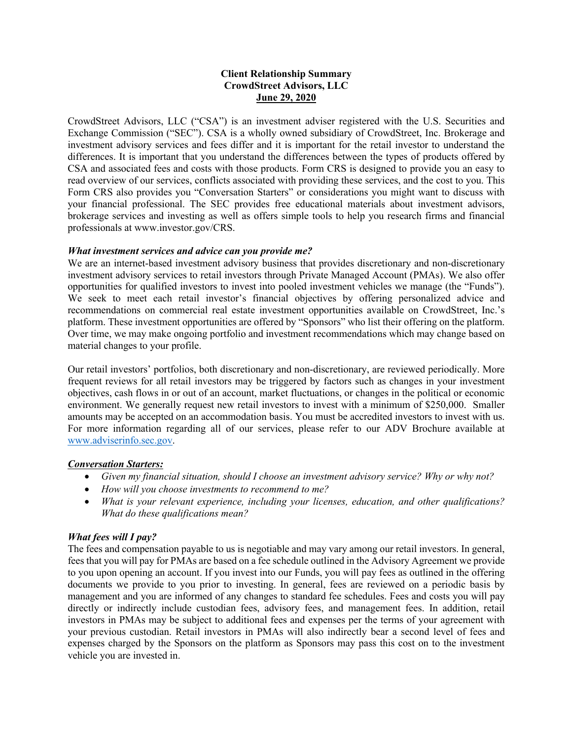### **Client Relationship Summary CrowdStreet Advisors, LLC June 29, 2020**

CrowdStreet Advisors, LLC ("CSA") is an investment adviser registered with the U.S. Securities and Exchange Commission ("SEC"). CSA is a wholly owned subsidiary of CrowdStreet, Inc. Brokerage and investment advisory services and fees differ and it is important for the retail investor to understand the differences. It is important that you understand the differences between the types of products offered by CSA and associated fees and costs with those products. Form CRS is designed to provide you an easy to read overview of our services, conflicts associated with providing these services, and the cost to you. This Form CRS also provides you "Conversation Starters" or considerations you might want to discuss with your financial professional. The SEC provides free educational materials about investment advisors, brokerage services and investing as well as offers simple tools to help you research firms and financial professionals at www.investor.gov/CRS.

#### *What investment services and advice can you provide me?*

We are an internet-based investment advisory business that provides discretionary and non-discretionary investment advisory services to retail investors through Private Managed Account (PMAs). We also offer opportunities for qualified investors to invest into pooled investment vehicles we manage (the "Funds"). We seek to meet each retail investor's financial objectives by offering personalized advice and recommendations on commercial real estate investment opportunities available on CrowdStreet, Inc.'s platform. These investment opportunities are offered by "Sponsors" who list their offering on the platform. Over time, we may make ongoing portfolio and investment recommendations which may change based on material changes to your profile.

Our retail investors' portfolios, both discretionary and non-discretionary, are reviewed periodically. More frequent reviews for all retail investors may be triggered by factors such as changes in your investment objectives, cash flows in or out of an account, market fluctuations, or changes in the political or economic environment. We generally request new retail investors to invest with a minimum of \$250,000. Smaller amounts may be accepted on an accommodation basis. You must be accredited investors to invest with us. For more information regarding all of our services, please refer to our ADV Brochure available at www.adviserinfo.sec.gov.

### *Conversation Starters:*

- *Given my financial situation, should I choose an investment advisory service? Why or why not?*
- *How will you choose investments to recommend to me?*
- *What is your relevant experience, including your licenses, education, and other qualifications? What do these qualifications mean?*

### *What fees will I pay?*

The fees and compensation payable to us is negotiable and may vary among our retail investors. In general, fees that you will pay for PMAs are based on a fee schedule outlined in the Advisory Agreement we provide to you upon opening an account. If you invest into our Funds, you will pay fees as outlined in the offering documents we provide to you prior to investing. In general, fees are reviewed on a periodic basis by management and you are informed of any changes to standard fee schedules. Fees and costs you will pay directly or indirectly include custodian fees, advisory fees, and management fees. In addition, retail investors in PMAs may be subject to additional fees and expenses per the terms of your agreement with your previous custodian. Retail investors in PMAs will also indirectly bear a second level of fees and expenses charged by the Sponsors on the platform as Sponsors may pass this cost on to the investment vehicle you are invested in.